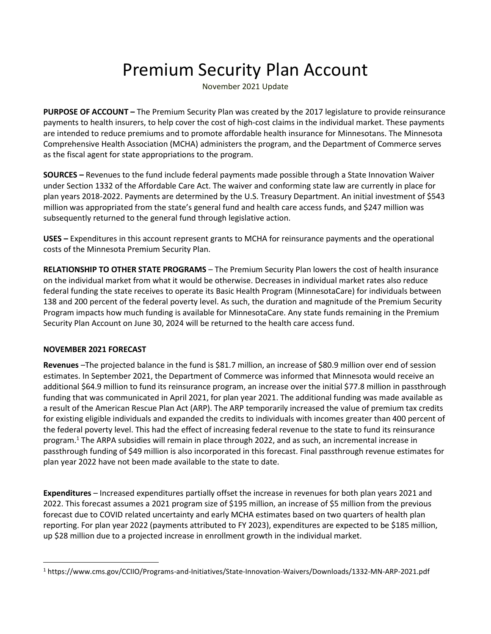## Premium Security Plan Account

November 2021 Update

**PURPOSE OF ACCOUNT –** The Premium Security Plan was created by the 2017 legislature to provide reinsurance payments to health insurers, to help cover the cost of high-cost claims in the individual market. These payments are intended to reduce premiums and to promote affordable health insurance for Minnesotans. The Minnesota Comprehensive Health Association (MCHA) administers the program, and the Department of Commerce serves as the fiscal agent for state appropriations to the program.

**SOURCES –** Revenues to the fund include federal payments made possible through a State Innovation Waiver under Section 1332 of the Affordable Care Act. The waiver and conforming state law are currently in place for plan years 2018-2022. Payments are determined by the U.S. Treasury Department. An initial investment of \$543 million was appropriated from the state's general fund and health care access funds, and \$247 million was subsequently returned to the general fund through legislative action.

**USES –** Expenditures in this account represent grants to MCHA for reinsurance payments and the operational costs of the Minnesota Premium Security Plan.

**RELATIONSHIP TO OTHER STATE PROGRAMS** – The Premium Security Plan lowers the cost of health insurance on the individual market from what it would be otherwise. Decreases in individual market rates also reduce federal funding the state receives to operate its Basic Health Program (MinnesotaCare) for individuals between 138 and 200 percent of the federal poverty level. As such, the duration and magnitude of the Premium Security Program impacts how much funding is available for MinnesotaCare. Any state funds remaining in the Premium Security Plan Account on June 30, 2024 will be returned to the health care access fund.

## **NOVEMBER 2021 FORECAST**

**Revenues** –The projected balance in the fund is \$81.7 million, an increase of \$80.9 million over end of session estimates. In September 2021, the Department of Commerce was informed that Minnesota would receive an additional \$64.9 million to fund its reinsurance program, an increase over the initial \$77.8 million in passthrough funding that was communicated in April 2021, for plan year 2021. The additional funding was made available as a result of the American Rescue Plan Act (ARP). The ARP temporarily increased the value of premium tax credits for existing eligible individuals and expanded the credits to individuals with incomes greater than 400 percent of the federal poverty level. This had the effect of increasing federal revenue to the state to fund its reinsurance program.<sup>1</sup> The ARPA subsidies will remain in place through 2022, and as such, an incremental increase in passthrough funding of \$49 million is also incorporated in this forecast. Final passthrough revenue estimates for plan year 2022 have not been made available to the state to date.

**Expenditures** – Increased expenditures partially offset the increase in revenues for both plan years 2021 and 2022. This forecast assumes a 2021 program size of \$195 million, an increase of \$5 million from the previous forecast due to COVID related uncertainty and early MCHA estimates based on two quarters of health plan reporting. For plan year 2022 (payments attributed to FY 2023), expenditures are expected to be \$185 million, up \$28 million due to a projected increase in enrollment growth in the individual market.

<sup>1</sup> https://www.cms.gov/CCIIO/Programs-and-Initiatives/State-Innovation-Waivers/Downloads/1332-MN-ARP-2021.pdf